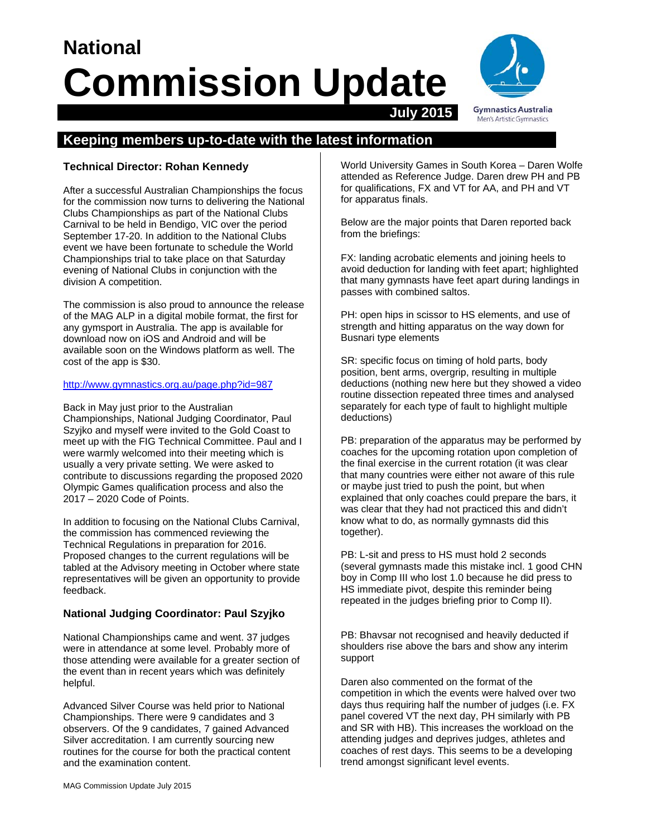# **National Commission Update July 2015**



# **Keeping members up-to-date with the latest information**

# **Technical Director: Rohan Kennedy**

After a successful Australian Championships the focus for the commission now turns to delivering the National Clubs Championships as part of the National Clubs Carnival to be held in Bendigo, VIC over the period September 17-20. In addition to the National Clubs event we have been fortunate to schedule the World Championships trial to take place on that Saturday evening of National Clubs in conjunction with the division A competition.

The commission is also proud to announce the release of the MAG ALP in a digital mobile format, the first for any gymsport in Australia. The app is available for download now on iOS and Android and will be available soon on the Windows platform as well. The cost of the app is \$30.

#### http://www.gymnastics.org.au/page.php?id=987

Back in May just prior to the Australian Championships, National Judging Coordinator, Paul Szyjko and myself were invited to the Gold Coast to meet up with the FIG Technical Committee. Paul and I were warmly welcomed into their meeting which is usually a very private setting. We were asked to contribute to discussions regarding the proposed 2020 Olympic Games qualification process and also the 2017 – 2020 Code of Points.

In addition to focusing on the National Clubs Carnival, the commission has commenced reviewing the Technical Regulations in preparation for 2016. Proposed changes to the current regulations will be tabled at the Advisory meeting in October where state representatives will be given an opportunity to provide feedback.

# **National Judging Coordinator: Paul Szyjko**

National Championships came and went. 37 judges were in attendance at some level. Probably more of those attending were available for a greater section of the event than in recent years which was definitely helpful.

Advanced Silver Course was held prior to National Championships. There were 9 candidates and 3 observers. Of the 9 candidates, 7 gained Advanced Silver accreditation. I am currently sourcing new routines for the course for both the practical content and the examination content.

World University Games in South Korea – Daren Wolfe attended as Reference Judge. Daren drew PH and PB for qualifications, FX and VT for AA, and PH and VT for apparatus finals.

Below are the major points that Daren reported back from the briefings:

FX: landing acrobatic elements and joining heels to avoid deduction for landing with feet apart; highlighted that many gymnasts have feet apart during landings in passes with combined saltos.

PH: open hips in scissor to HS elements, and use of strength and hitting apparatus on the way down for Busnari type elements

SR: specific focus on timing of hold parts, body position, bent arms, overgrip, resulting in multiple deductions (nothing new here but they showed a video routine dissection repeated three times and analysed separately for each type of fault to highlight multiple deductions)

PB: preparation of the apparatus may be performed by coaches for the upcoming rotation upon completion of the final exercise in the current rotation (it was clear that many countries were either not aware of this rule or maybe just tried to push the point, but when explained that only coaches could prepare the bars, it was clear that they had not practiced this and didn't know what to do, as normally gymnasts did this together).

PB: L-sit and press to HS must hold 2 seconds (several gymnasts made this mistake incl. 1 good CHN boy in Comp III who lost 1.0 because he did press to HS immediate pivot, despite this reminder being repeated in the judges briefing prior to Comp II).

PB: Bhavsar not recognised and heavily deducted if shoulders rise above the bars and show any interim support

Daren also commented on the format of the competition in which the events were halved over two days thus requiring half the number of judges (i.e. FX panel covered VT the next day, PH similarly with PB and SR with HB). This increases the workload on the attending judges and deprives judges, athletes and coaches of rest days. This seems to be a developing trend amongst significant level events.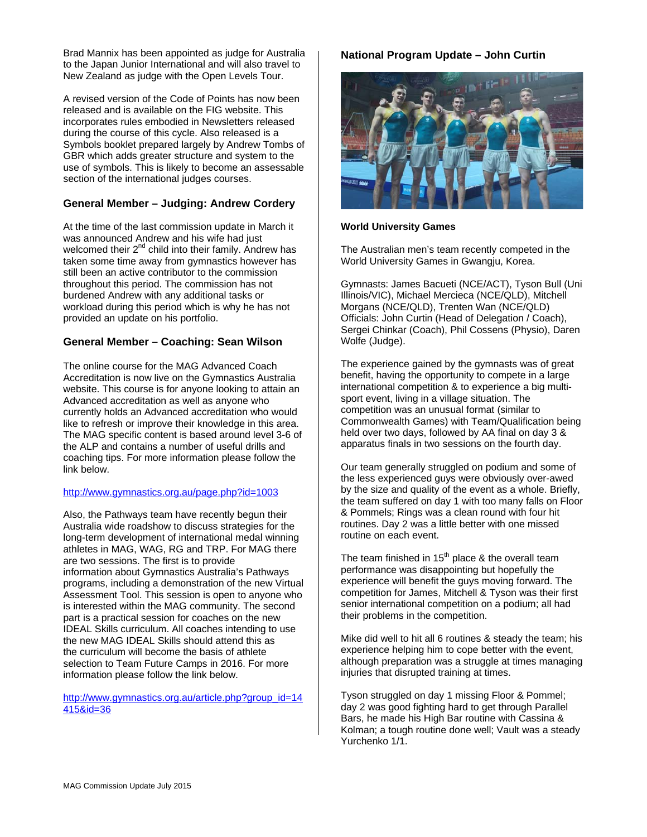Brad Mannix has been appointed as judge for Australia to the Japan Junior International and will also travel to New Zealand as judge with the Open Levels Tour.

A revised version of the Code of Points has now been released and is available on the FIG website. This incorporates rules embodied in Newsletters released during the course of this cycle. Also released is a Symbols booklet prepared largely by Andrew Tombs of GBR which adds greater structure and system to the use of symbols. This is likely to become an assessable section of the international judges courses.

# **General Member – Judging: Andrew Cordery**

At the time of the last commission update in March it was announced Andrew and his wife had just welcomed their  $2^{nd}$  child into their family. Andrew has taken some time away from gymnastics however has still been an active contributor to the commission throughout this period. The commission has not burdened Andrew with any additional tasks or workload during this period which is why he has not provided an update on his portfolio.

#### **General Member – Coaching: Sean Wilson**

The online course for the MAG Advanced Coach Accreditation is now live on the Gymnastics Australia website. This course is for anyone looking to attain an Advanced accreditation as well as anyone who currently holds an Advanced accreditation who would like to refresh or improve their knowledge in this area. The MAG specific content is based around level 3-6 of the ALP and contains a number of useful drills and coaching tips. For more information please follow the link below.

#### http://www.gymnastics.org.au/page.php?id=1003

Also, the Pathways team have recently begun their Australia wide roadshow to discuss strategies for the long-term development of international medal winning athletes in MAG, WAG, RG and TRP. For MAG there are two sessions. The first is to provide information about Gymnastics Australia's Pathways programs, including a demonstration of the new Virtual Assessment Tool. This session is open to anyone who is interested within the MAG community. The second part is a practical session for coaches on the new IDEAL Skills curriculum. All coaches intending to use the new MAG IDEAL Skills should attend this as the curriculum will become the basis of athlete selection to Team Future Camps in 2016. For more information please follow the link below.

http://www.gymnastics.org.au/article.php?group\_id=14 415&id=36

### **National Program Update – John Curtin**



#### **World University Games**

The Australian men's team recently competed in the World University Games in Gwangju, Korea.

Gymnasts: James Bacueti (NCE/ACT), Tyson Bull (Uni Illinois/VIC), Michael Mercieca (NCE/QLD), Mitchell Morgans (NCE/QLD), Trenten Wan (NCE/QLD) Officials: John Curtin (Head of Delegation / Coach), Sergei Chinkar (Coach), Phil Cossens (Physio), Daren Wolfe (Judge).

The experience gained by the gymnasts was of great benefit, having the opportunity to compete in a large international competition & to experience a big multisport event, living in a village situation. The competition was an unusual format (similar to Commonwealth Games) with Team/Qualification being held over two days, followed by AA final on day 3 & apparatus finals in two sessions on the fourth day.

Our team generally struggled on podium and some of the less experienced guys were obviously over-awed by the size and quality of the event as a whole. Briefly, the team suffered on day 1 with too many falls on Floor & Pommels; Rings was a clean round with four hit routines. Day 2 was a little better with one missed routine on each event.

The team finished in 15<sup>th</sup> place & the overall team performance was disappointing but hopefully the experience will benefit the guys moving forward. The competition for James, Mitchell & Tyson was their first senior international competition on a podium; all had their problems in the competition.

Mike did well to hit all 6 routines & steady the team; his experience helping him to cope better with the event, although preparation was a struggle at times managing injuries that disrupted training at times.

Tyson struggled on day 1 missing Floor & Pommel; day 2 was good fighting hard to get through Parallel Bars, he made his High Bar routine with Cassina & Kolman; a tough routine done well; Vault was a steady Yurchenko 1/1.